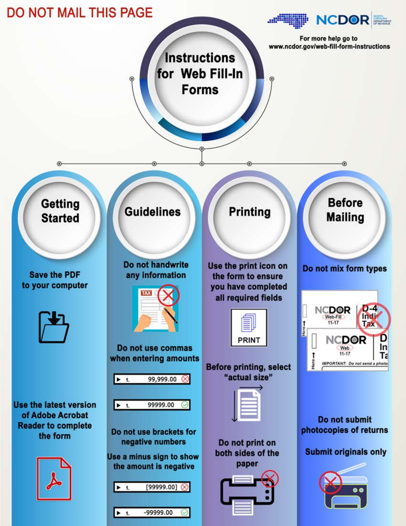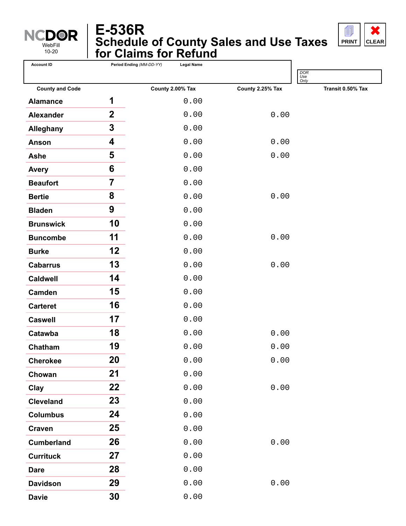

# **Schedule of County Sales and Use Taxes for Claims for Refund E-536R**



| <b>Account ID</b>      | Period Ending (MM-DD-YY) | <b>Legal Name</b> |                  |                    |
|------------------------|--------------------------|-------------------|------------------|--------------------|
|                        |                          |                   |                  | DOR<br>Use<br>Only |
| <b>County and Code</b> |                          | County 2.00% Tax  | County 2.25% Tax | Transit 0.50% Tax  |
| <b>Alamance</b>        | 1                        | 0.00              |                  |                    |
| <b>Alexander</b>       | $\overline{2}$           | 0.00              | 0.00             |                    |
| <b>Alleghany</b>       | $\mathbf 3$              | 0.00              |                  |                    |
| <b>Anson</b>           | 4                        | 0.00              | 0.00             |                    |
| <b>Ashe</b>            | 5                        | 0.00              | 0.00             |                    |
| <b>Avery</b>           | 6                        | 0.00              |                  |                    |
| <b>Beaufort</b>        | $\overline{\mathbf{7}}$  | 0.00              |                  |                    |
| <b>Bertie</b>          | 8                        | 0.00              | 0.00             |                    |
| <b>Bladen</b>          | 9                        | 0.00              |                  |                    |
| <b>Brunswick</b>       | 10                       | 0.00              |                  |                    |
| <b>Buncombe</b>        | 11                       | 0.00              | 0.00             |                    |
| <b>Burke</b>           | 12                       | 0.00              |                  |                    |
| <b>Cabarrus</b>        | 13                       | 0.00              | 0.00             |                    |
| <b>Caldwell</b>        | 14                       | 0.00              |                  |                    |
| Camden                 | 15                       | 0.00              |                  |                    |
| <b>Carteret</b>        | 16                       | 0.00              |                  |                    |
| <b>Caswell</b>         | 17                       | 0.00              |                  |                    |
| Catawba                | 18                       | 0.00              | 0.00             |                    |
| Chatham                | 19                       | 0.00              | 0.00             |                    |
| <b>Cherokee</b>        | 20                       | 0.00              | 0.00             |                    |
| Chowan                 | 21                       | 0.00              |                  |                    |
| Clay                   | 22                       | 0.00              | 0.00             |                    |
| <b>Cleveland</b>       | 23                       | 0.00              |                  |                    |
| <b>Columbus</b>        | 24                       | 0.00              |                  |                    |
| <b>Craven</b>          | 25                       | 0.00              |                  |                    |
| <b>Cumberland</b>      | 26                       | 0.00              | 0.00             |                    |
| <b>Currituck</b>       | 27                       | 0.00              |                  |                    |
| <b>Dare</b>            | 28                       | 0.00              |                  |                    |
| <b>Davidson</b>        | 29                       | 0.00              | 0.00             |                    |
| <b>Davie</b>           | 30                       | 0.00              |                  |                    |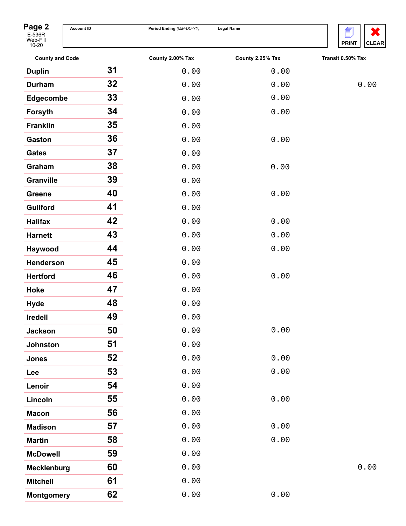

| Page 2<br>E-536R<br>Web-Fill<br>$10 - 20$ | <b>Account ID</b> | Period Ending (MM-DD-YY) | <b>Legal Name</b> | 圁<br><b>PRINT</b><br><b>CLE</b> |
|-------------------------------------------|-------------------|--------------------------|-------------------|---------------------------------|
| <b>County and Code</b>                    |                   | County 2.00% Tax         | County 2.25% Tax  | Transit 0.50% Tax               |
| <b>Duplin</b>                             | 31                | 0.00                     | 0.00              |                                 |
| <b>Durham</b>                             | 32 <sub>2</sub>   | 0.00                     | 0.00              | 0.00                            |
| <b>Edgecombe</b>                          | 33                | 0.00                     | 0.00              |                                 |
| Forsyth                                   | 34                | 0.00                     | 0.00              |                                 |
| <b>Franklin</b>                           | 35                | 0.00                     |                   |                                 |
| <b>Gaston</b>                             | 36                | 0.00                     | 0.00              |                                 |
| <b>Gates</b>                              | 37                | 0.00                     |                   |                                 |
| Graham                                    | 38                | 0.00                     | 0.00              |                                 |
| <b>Granville</b>                          | 39                | 0.00                     |                   |                                 |
| <b>Greene</b>                             | 40                | 0.00                     | 0.00              |                                 |
| <b>Guilford</b>                           | 41                | 0.00                     |                   |                                 |
| <b>Halifax</b>                            | 42                | 0.00                     | 0.00              |                                 |
| <b>Harnett</b>                            | 43                | 0.00                     | 0.00              |                                 |
| Haywood                                   | 44                | 0.00                     | 0.00              |                                 |
| <b>Henderson</b>                          | 45                | 0.00                     |                   |                                 |
| <b>Hertford</b>                           | 46                | 0.00                     | 0.00              |                                 |
| Hoke                                      | 47                | 0.00                     |                   |                                 |
| <b>Hyde</b>                               | 48                | 0.00                     |                   |                                 |
| <b>Iredell</b>                            | 49                | 0.00                     |                   |                                 |
| <b>Jackson</b>                            | 50                | 0.00                     | 0.00              |                                 |
| <b>Johnston</b>                           | 51                | 0.00                     |                   |                                 |
| <b>Jones</b>                              | 52                | 0.00                     | 0.00              |                                 |
| Lee                                       | 53                | 0.00                     | 0.00              |                                 |
| Lenoir                                    | 54                | 0.00                     |                   |                                 |
| Lincoln                                   | 55                | 0.00                     | 0.00              |                                 |
| <b>Macon</b>                              | 56                | 0.00                     |                   |                                 |
| <b>Madison</b>                            | 57                | 0.00                     | 0.00              |                                 |
| <b>Martin</b>                             | 58                | 0.00                     | 0.00              |                                 |
| <b>McDowell</b>                           | 59                | 0.00                     |                   |                                 |
| <b>Mecklenburg</b>                        | 60                | 0.00                     |                   | 0.00                            |
| <b>Mitchell</b>                           | 61                | 0.00                     |                   |                                 |
| <b>Montgomery</b>                         | 62                | 0.00                     | 0.00              |                                 |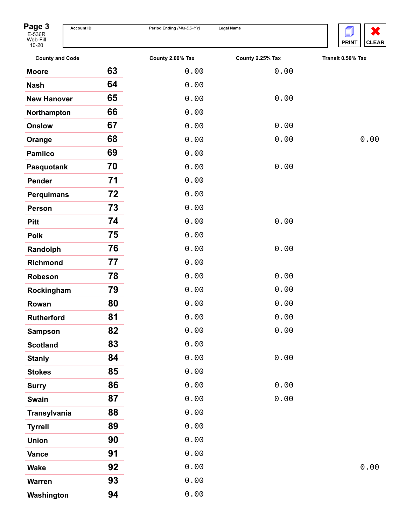

| Page 3<br>E-536R<br>Web-Fill        | <b>Account ID</b> | Period Ending (MM-DD-YY) | <b>Legal Name</b> | 氲<br>X<br><b>PRINT</b><br><b>CLEAR</b> |
|-------------------------------------|-------------------|--------------------------|-------------------|----------------------------------------|
| $10 - 20$<br><b>County and Code</b> |                   | County 2.00% Tax         | County 2.25% Tax  | Transit 0.50% Tax                      |
| <b>Moore</b>                        | 63                | 0.00                     | 0.00              |                                        |
| <b>Nash</b>                         | 64                | 0.00                     |                   |                                        |
| <b>New Hanover</b>                  | 65                | 0.00                     | 0.00              |                                        |
| Northampton                         | 66                | 0.00                     |                   |                                        |
| <b>Onslow</b>                       | 67                | 0.00                     | 0.00              |                                        |
| Orange                              | 68                | 0.00                     | 0.00              | 0.00                                   |
| <b>Pamlico</b>                      | 69                | 0.00                     |                   |                                        |
| Pasquotank                          | 70                | 0.00                     | 0.00              |                                        |
| <b>Pender</b>                       | 71                | 0.00                     |                   |                                        |
| <b>Perquimans</b>                   | 72                | 0.00                     |                   |                                        |
| <b>Person</b>                       | 73                | 0.00                     |                   |                                        |
| <b>Pitt</b>                         | 74                | 0.00                     | 0.00              |                                        |
| <b>Polk</b>                         | 75                | 0.00                     |                   |                                        |
| Randolph                            | 76                | 0.00                     | 0.00              |                                        |
| <b>Richmond</b>                     | 77                | 0.00                     |                   |                                        |
| Robeson                             | 78                | 0.00                     | 0.00              |                                        |
| Rockingham                          | 79                | 0.00                     | 0.00              |                                        |
| Rowan                               | 80                | 0.00                     | 0.00              |                                        |
| <b>Rutherford</b>                   | 81                | 0.00                     | 0.00              |                                        |
| <b>Sampson</b>                      | 82                | 0.00                     | 0.00              |                                        |
| <b>Scotland</b>                     | 83                | 0.00                     |                   |                                        |
| <b>Stanly</b>                       | 84                | 0.00                     | 0.00              |                                        |
| <b>Stokes</b>                       | 85                | 0.00                     |                   |                                        |
| <b>Surry</b>                        | 86                | 0.00                     | 0.00              |                                        |
| <b>Swain</b>                        | 87                | 0.00                     | 0.00              |                                        |
| <b>Transylvania</b>                 | 88                | 0.00                     |                   |                                        |
| <b>Tyrrell</b>                      | 89                | 0.00                     |                   |                                        |
| <b>Union</b>                        | 90                | 0.00                     |                   |                                        |
| <b>Vance</b>                        | 91                | 0.00                     |                   |                                        |
| <b>Wake</b>                         | 92                | 0.00                     |                   | 0.00                                   |
| <b>Warren</b>                       | 93                | 0.00                     |                   |                                        |
| Washington                          | 94                | 0.00                     |                   |                                        |